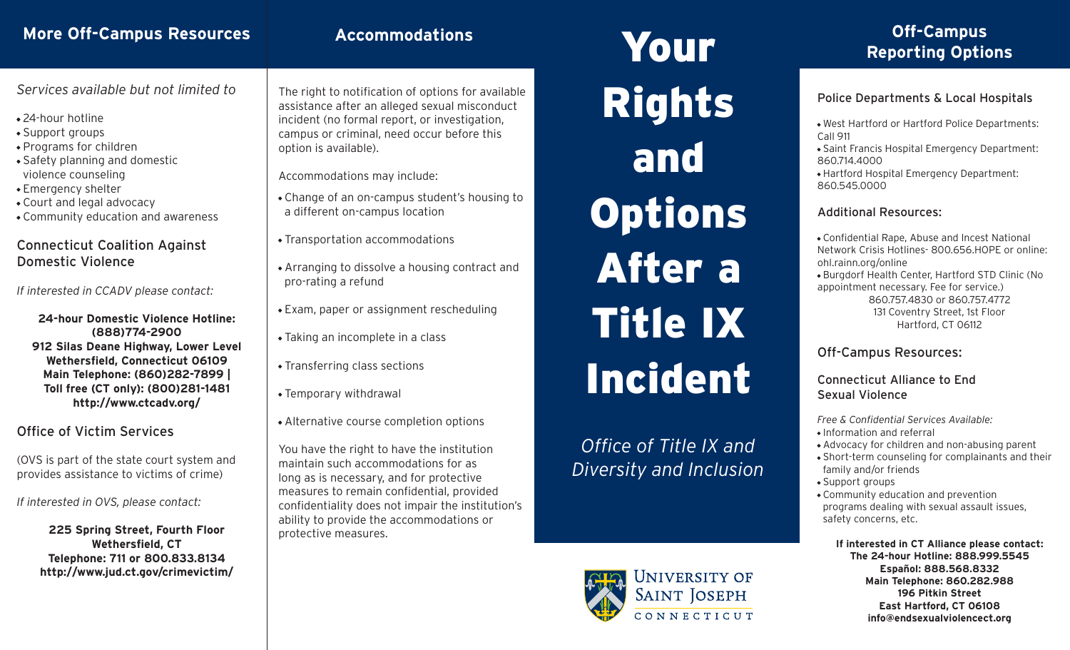## **More Off-Campus Resources**

## **Accommodations**

*Services available but not limited to*

- 24-hour hotline
- Support groups
- Programs for children
- Safety planning and domestic violence counseling
- Emergency shelter
- Court and legal advocacy
- Community education and awareness

### Connecticut Coalition Against Domestic Violence

*If interested in CCADV please contact:*

**24-hour Domestic Violence Hotline: (888)774-2900 912 Silas Deane Highway, Lower Level Wethersfield, Connecticut 06109 Main Telephone: (860)282-7899 | Toll free (CT only): (800)281-1481 http://www.ctcadv.org/**

Office of Victim Services

(OVS is part of the state court system and provides assistance to victims of crime)

*If interested in OVS, please contact:*

**225 Spring Street, Fourth Floor Wethersfield, CT Telephone: 711 or 800.833.8134 http://www.jud.ct.gov/crimevictim/** The right to notification of options for available assistance after an alleged sexual misconduct incident (no formal report, or investigation, campus or criminal, need occur before this option is available).

Accommodations may include:

- Change of an on-campus student's housing to a different on-campus location
- Transportation accommodations
- Arranging to dissolve a housing contract and pro-rating a refund
- Exam, paper or assignment rescheduling
- Taking an incomplete in a class
- Transferring class sections
- Temporary withdrawal
- Alternative course completion options

You have the right to have the institution maintain such accommodations for as long as is necessary, and for protective measures to remain confidential, provided confidentiality does not impair the institution's ability to provide the accommodations or protective measures.

Your Rights and **Options** After a Title IX Incident

*Office of Title IX and Diversity and Inclusion*



# **Off-Campus Reporting Options**

### Police Departments & Local Hospitals

- West Hartford or Hartford Police Departments: Call 911
- Saint Francis Hospital Emergency Department: 860.714.4000
- Hartford Hospital Emergency Department: 860.545.0000

### Additional Resources:

- Confidential Rape, Abuse and Incest National Network Crisis Hotlines- 800.656.HOPE or online: ohl.rainn.org/online
- Burgdorf Health Center, Hartford STD Clinic (No appointment necessary. Fee for service.) 860.757.4830 or 860.757.4772 131 Coventry Street, 1st Floor Hartford, CT 06112

### Off-Campus Resources:

Connecticut Alliance to End Sexual Violence

*Free & Confidential Services Available:* • Information and referral

- Advocacy for children and non-abusing parent
- Short-term counseling for complainants and their family and/or friends
- Support groups
- Community education and prevention programs dealing with sexual assault issues, safety concerns, etc.

**If interested in CT Alliance please contact: The 24-hour Hotline: 888.999.5545 Español: 888.568.8332 Main Telephone: 860.282.988 196 Pitkin Street East Hartford, CT 06108 info@endsexualviolencect.org**